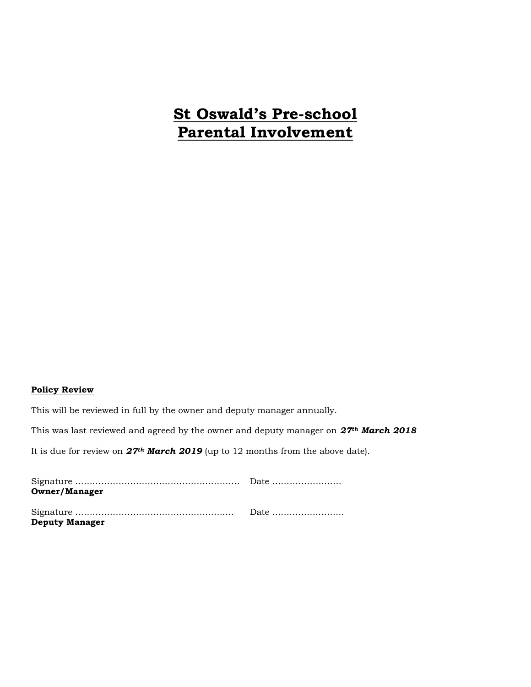# **St Oswald's Pre-school Parental Involvement**

#### **Policy Review**

This will be reviewed in full by the owner and deputy manager annually.

This was last reviewed and agreed by the owner and deputy manager on *27th March 2018*

It is due for review on *27th March 2019* (up to 12 months from the above date).

| <b>Owner/Manager</b>  |  |
|-----------------------|--|
|                       |  |
| <b>Deputy Manager</b> |  |